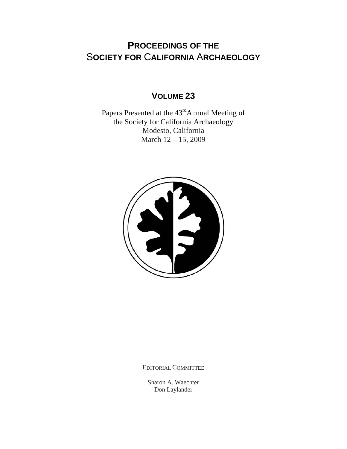# **PROCEEDINGS OF THE** S**OCIETY FOR** C**ALIFORNIA** A**RCHAEOLOGY**

## **VOLUME 23**

Papers Presented at the 43<sup>rd</sup>Annual Meeting of the Society for California Archaeology Modesto, California March 12 – 15, 2009



EDITORIAL COMMITTEE

Sharon A. Waechter Don Laylander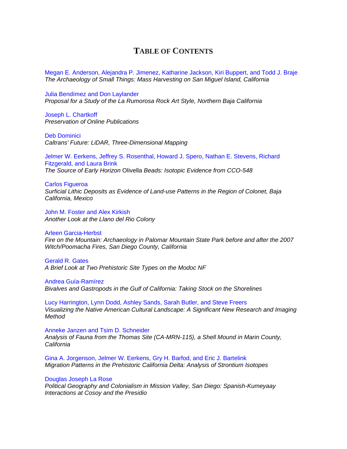### **TABLE OF CONTENTS**

[Megan E. Anderson, Alejandra P. Jimenez, Katharine Jackson, Kiri Buppert, and Todd J. Braje](http://www.scahome.org/publications/proceedings/Proceedings.23Anderson.pdf)  *The Archaeology of Small Things: Mass Harvesting on San Miguel Island, California*

Julia Bendímez and Don Laylander *[Proposal for a Study of the La Rumorosa Rock Art Style, Northern Baja California](http://www.scahome.org/publications/proceedings/Proceedings.23Bendimez.pdf)*

Joseph L. Chartkoff *[Preservation of Online Publications](http://www.scahome.org/publications/proceedings/Proceedings.23Chartkoff.pdf)*

Deb Dominici *[Caltrans' Future: LiDAR, Three-Dimensional Mapping](http://www.scahome.org/publications/proceedings/Proceedings.23Dominici.pdf)* 

[Jelmer W. Eerkens, Jeffrey S. Rosenthal, Howard J. Spero, Nathan E. Stevens, Richard](http://www.scahome.org/publications/proceedings/Proceedings.23Eerkens.pdf)  Fitzgerald, and Laura Brink *The Source of Early Horizon* Olivella *Beads: Isotopic Evidence from CCO-548* 

Carlos Figueroa *[Surficial Lithic Deposits as Evidence of Land-use Patterns in the Region of Colonet, Baja](http://www.scahome.org/publications/proceedings/Proceedings.23Figueroa.pdf)  California, Mexico* 

John M. Foster and Alex Kirkish *[Another Look at the Llano del Rio Colony](http://www.scahome.org/publications/proceedings/Proceedings.23Foster.pdf)* 

Arleen Garcia-Herbst

*[Fire on the Mountain: Archaeology in Palomar Mountain State Park before and after the 2007](http://www.scahome.org/publications/proceedings/Proceedings.23Garcia.pdf)  Witch/Poomacha Fires, San Diego County, California* 

Gerald R. Gates *[A Brief Look at Two Prehistoric Site Types on the Modoc NF](http://www.scahome.org/publications/proceedings/Proceedings.23Gates.pdf)* 

Andrea Guía-Ramírez *[Bivalves and Gastropods in the Gulf of California: Taking Stock on the Shorelines](http://www.scahome.org/publications/proceedings/Proceedings.23Guia.pdf)* 

Lucy Harrington, Lynn Dodd, Ashley Sands, Sarah Butler, and Steve Freers *[Visualizing the Native American Cultural Landscape: A Significant New Research and Imaging](http://www.scahome.org/publications/proceedings/Proceedings.23Harrington.pdf)  Method* 

Anneke Janzen and Tsim D. Schneider *[Analysis of Fauna from the Thomas Site \(CA-MRN-115\), a Shell Mound in Marin County,](http://www.scahome.org/publications/proceedings/Proceedings.23Janzen.pdf)  California* 

Gina A. Jorgenson, Jelmer W. Eerkens, Gry H. Barfod, and Eric J. Bartelink *[Migration Patterns in the Prehistoric California Delta: Analysis of Strontium Isotopes](http://www.scahome.org/publications/proceedings/Proceedings.23Jorgenson.pdf)* 

### Douglas Joseph La Rose

*[Political Geography and Colonialism in Mission Valley, San Diego: Spanish-Kumeyaay](http://www.scahome.org/publications/proceedings/Proceedings.23LaRose.pdf)  Interactions at Cosoy and the Presidio*